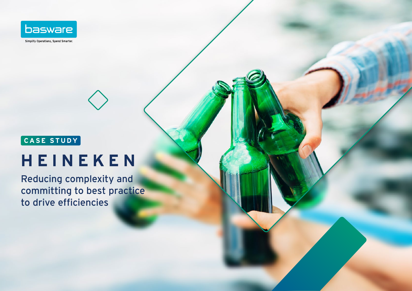

## **CASE STUDY**

# **HEINEKEN**

Reducing complexity and committing to best practice to drive efficiencies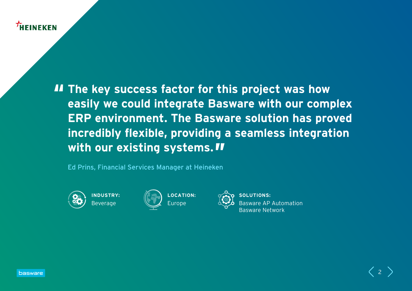## HEINEKEN

**II** The key success factor for this project was how **easily we could integrate Basware with our complex ERP environment. The Basware solution has proved incredibly flexible, providing a seamless integration with our existing systems.**

Ed Prins, Financial Services Manager at Heineken



**INDUSTRY:** Beverage





**SOLUTIONS:** Basware AP Automation Basware Network

 $\langle$  2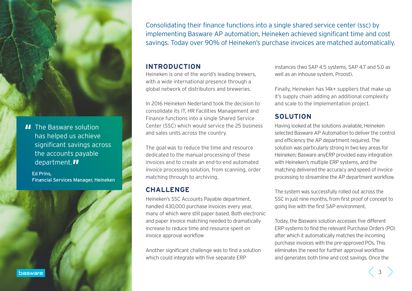

**II** The Basware solution has helped us achieve significant savings across the accounts payable department. **II** 

Ed Prins, Financial Services Manager, Heineken Consolidating their finance functions into a single shared service center (ssc) by implementing Basware AP automation, Heineken achieved significant time and cost savings. Today over 90% of Heineken's purchase invoices are matched automatically.

### **INTRODUCTION**

Heineken is one of the world's leading brewers, with a wide international presence through a global network of distributors and breweries.

In 2016 Heineken Nederland took the decision to consolidate its IT, HR Facilities Management and Finance functions into a single Shared Service Center (SSC) which would service the 25 business and sales units across the country.

The goal was to reduce the time and resource dedicated to the manual processing of these invoices and to create an end-to-end automated invoice processing solution, from scanning, order matching through to archiving.

## **CHALLENGE**

Heineken's SSC Accounts Payable department, handled 430,000 purchase invoices every year, many of which were still paper based. Both electronic and paper invoice matching needed to dramatically increase to reduce time and resource spent on invoice approval workflow

Another significant challenge was to find a solution which could integrate with five separate ERP

instances (two SAP 4.5 systems, SAP 4.7 and 5.0 as well as an inhouse system, Proost).

Finally, Heineken has 14k+ suppliers that make up it's supply chain adding an additional complexity and scale to the implementation project.

## **SOLUTION**

Having looked at the solutions available, Heineken selected Basware AP Automation to deliver the control and efficiency the AP department required. The solution was particularly strong in two key areas for Heineken; Basware anyERP provided easy integration with Heineken's multiple ERP systems, and the matching delivered the accuracy and speed of invoice processing to streamline the AP department workflow.

The system was successfully rolled out across the SSC in just nine months, from first proof of concept to going live with the first SAP environment.

Today, the Basware solution accesses five different ERP systems to find the relevant Purchase Orders (PO) after which it automatically matches the incoming purchase invoices with the pre-approved POs. This eliminates the need for further approval workflow and generates both time and cost savings. Once the